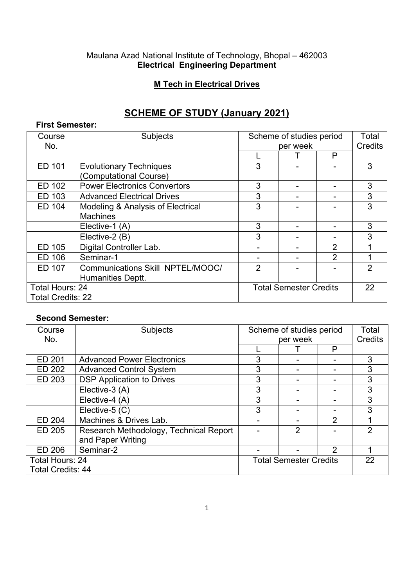#### Maulana Azad National Institute of Technology, Bhopal – 462003 **Electrical Engineering Department**

### **M Tech in Electrical Drives**

# **SCHEME OF STUDY (January 2021)**

#### **First Semester:**

| Course                   | Subjects                            | Scheme of studies period      |  |                | Total   |
|--------------------------|-------------------------------------|-------------------------------|--|----------------|---------|
| No.                      |                                     | per week                      |  |                | Credits |
|                          |                                     |                               |  | P              |         |
| ED 101                   | <b>Evolutionary Techniques</b>      | 3                             |  |                | 3       |
|                          | (Computational Course)              |                               |  |                |         |
| ED 102                   | <b>Power Electronics Convertors</b> | 3                             |  |                | 3       |
| ED 103                   | <b>Advanced Electrical Drives</b>   | 3                             |  |                | 3       |
| ED 104                   | Modeling & Analysis of Electrical   | 3                             |  |                | 3       |
|                          | <b>Machines</b>                     |                               |  |                |         |
|                          | Elective-1 (A)                      | 3                             |  |                | 3       |
|                          | Elective-2 (B)                      | 3                             |  |                | 3       |
| ED 105                   | Digital Controller Lab.             |                               |  | $\overline{2}$ |         |
| ED 106                   | Seminar-1                           |                               |  | $\overline{2}$ |         |
| ED 107                   | Communications Skill NPTEL/MOOC/    | $\overline{2}$                |  |                | 2       |
|                          | Humanities Deptt.                   |                               |  |                |         |
| Total Hours: 24          |                                     | <b>Total Semester Credits</b> |  |                | 22      |
| <b>Total Credits: 22</b> |                                     |                               |  |                |         |

#### **Second Semester:**

| Course                   | <b>Subjects</b>                        | Scheme of studies period      |                | Total |         |
|--------------------------|----------------------------------------|-------------------------------|----------------|-------|---------|
| No.                      |                                        | per week                      |                |       | Credits |
|                          |                                        |                               |                | P     |         |
| ED 201                   | <b>Advanced Power Electronics</b>      | 3                             |                |       | 3       |
| ED 202                   | <b>Advanced Control System</b>         | 3                             |                |       | 3       |
| ED 203                   | <b>DSP Application to Drives</b>       | 3                             |                |       | 3       |
|                          | Elective-3 (A)                         | 3                             |                |       | 3       |
|                          | Elective-4 (A)                         | 3                             |                |       | 3       |
|                          | Elective-5 (C)                         | 3                             |                |       | 3       |
| ED 204                   | Machines & Drives Lab.                 |                               |                | 2     |         |
| ED 205                   | Research Methodology, Technical Report |                               | $\overline{2}$ |       | 2       |
|                          | and Paper Writing                      |                               |                |       |         |
| ED 206                   | Seminar-2                              |                               |                | 2     |         |
| Total Hours: 24          |                                        | <b>Total Semester Credits</b> |                | 22    |         |
| <b>Total Credits: 44</b> |                                        |                               |                |       |         |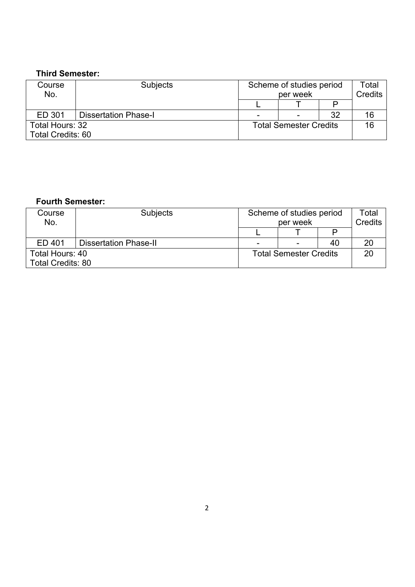## **Third Semester:**

| Course<br>No.            | <b>Subjects</b>             | Scheme of studies period<br>per week |   |    | Total<br>Credits |
|--------------------------|-----------------------------|--------------------------------------|---|----|------------------|
|                          |                             |                                      |   |    |                  |
| ED 301                   | <b>Dissertation Phase-I</b> |                                      | ۰ | 32 | 16               |
| Total Hours: 32          |                             | <b>Total Semester Credits</b>        |   | 16 |                  |
| <b>Total Credits: 60</b> |                             |                                      |   |    |                  |

#### **Fourth Semester:**

| Course<br>No.                               | <b>Subjects</b>              | Scheme of studies period<br>per week |                |    | Total<br>Credits |
|---------------------------------------------|------------------------------|--------------------------------------|----------------|----|------------------|
|                                             |                              |                                      |                |    |                  |
| ED 401                                      | <b>Dissertation Phase-II</b> | -                                    | $\blacksquare$ | 40 |                  |
| Total Hours: 40<br><b>Total Credits: 80</b> |                              | <b>Total Semester Credits</b>        |                |    |                  |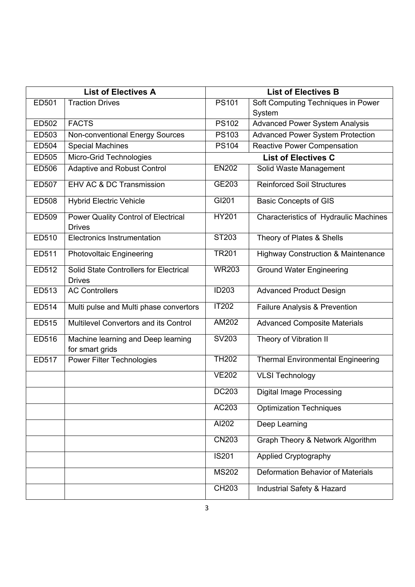| <b>List of Electives A</b> |                                                         |                     | <b>List of Electives B</b>                    |
|----------------------------|---------------------------------------------------------|---------------------|-----------------------------------------------|
| ED501                      | <b>Traction Drives</b>                                  | <b>PS101</b>        | Soft Computing Techniques in Power            |
|                            |                                                         |                     | System                                        |
| ED502                      | <b>FACTS</b>                                            | $\overline{PS}$ 102 | <b>Advanced Power System Analysis</b>         |
| ED503                      | Non-conventional Energy Sources                         | <b>PS103</b>        | <b>Advanced Power System Protection</b>       |
| ED504                      | <b>Special Machines</b>                                 | <b>PS104</b>        | <b>Reactive Power Compensation</b>            |
| ED505                      | Micro-Grid Technologies                                 |                     | <b>List of Electives C</b>                    |
| ED506                      | <b>Adaptive and Robust Control</b>                      | <b>EN202</b>        | Solid Waste Management                        |
| ED507                      | <b>EHV AC &amp; DC Transmission</b>                     | GE203               | <b>Reinforced Soil Structures</b>             |
| <b>ED508</b>               | <b>Hybrid Electric Vehicle</b>                          | GI201               | <b>Basic Concepts of GIS</b>                  |
| ED509                      | Power Quality Control of Electrical<br><b>Drives</b>    | <b>HY201</b>        | Characteristics of Hydraulic Machines         |
| ED510                      | <b>Electronics Instrumentation</b>                      | ST203               | Theory of Plates & Shells                     |
| ED511                      | <b>Photovoltaic Engineering</b>                         | <b>TR201</b>        | <b>Highway Construction &amp; Maintenance</b> |
| ED512                      | Solid State Controllers for Electrical<br><b>Drives</b> | <b>WR203</b>        | <b>Ground Water Engineering</b>               |
| ED513                      | <b>AC Controllers</b>                                   | <b>ID203</b>        | <b>Advanced Product Design</b>                |
| ED514                      | Multi pulse and Multi phase convertors                  | <b>IT202</b>        | Failure Analysis & Prevention                 |
| ED515                      | Multilevel Convertors and its Control                   | <b>AM202</b>        | <b>Advanced Composite Materials</b>           |
| ED516                      | Machine learning and Deep learning<br>for smart grids   | SV203               | Theory of Vibration II                        |
| ED517                      | <b>Power Filter Technologies</b>                        | <b>TH202</b>        | <b>Thermal Environmental Engineering</b>      |
|                            |                                                         | <b>VE202</b>        | <b>VLSI Technology</b>                        |
|                            |                                                         | <b>DC203</b>        | <b>Digital Image Processing</b>               |
|                            |                                                         | AC203               | <b>Optimization Techniques</b>                |
|                            |                                                         | Al202               | Deep Learning                                 |
|                            |                                                         | <b>CN203</b>        | Graph Theory & Network Algorithm              |
|                            |                                                         | <b>IS201</b>        | <b>Applied Cryptography</b>                   |
|                            |                                                         | <b>MS202</b>        | <b>Deformation Behavior of Materials</b>      |
|                            |                                                         | <b>CH203</b>        | Industrial Safety & Hazard                    |